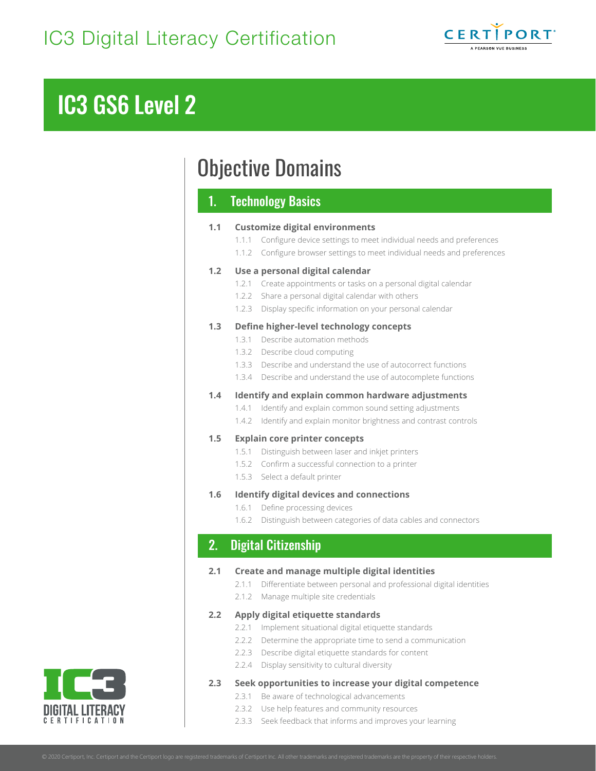

# IC3 GS6 Level 2

## Objective Domains

## 1. Technology Basics

## **1.1 Customize digital environments**

- 1.1.1 Configure device settings to meet individual needs and preferences
- 1.1.2 Configure browser settings to meet individual needs and preferences

## **1.2 Use a personal digital calendar**

- 1.2.1 Create appointments or tasks on a personal digital calendar
- 1.2.2 Share a personal digital calendar with others
- 1.2.3 Display specific information on your personal calendar

## **1.3 Define higher-level technology concepts**

- 1.3.1 Describe automation methods
- 1.3.2 Describe cloud computing
- 1.3.3 Describe and understand the use of autocorrect functions
- 1.3.4 Describe and understand the use of autocomplete functions

## **1.4 Identify and explain common hardware adjustments**

- 1.4.1 Identify and explain common sound setting adjustments
- 1.4.2 Identify and explain monitor brightness and contrast controls

## **1.5 Explain core printer concepts**

- 1.5.1 Distinguish between laser and inkjet printers
- 1.5.2 Confirm a successful connection to a printer
- 1.5.3 Select a default printer

## **1.6 Identify digital devices and connections**

- 1.6.1 Define processing devices
- 1.6.2 Distinguish between categories of data cables and connectors

## 2. Digital Citizenship

## **2.1 Create and manage multiple digital identities**

- 2.1.1 Differentiate between personal and professional digital identities
- 2.1.2 Manage multiple site credentials

## **2.2 Apply digital etiquette standards**

- 2.2.1 Implement situational digital etiquette standards
- 2.2.2 Determine the appropriate time to send a communication
- 2.2.3 Describe digital etiquette standards for content
- 2.2.4 Display sensitivity to cultural diversity

## **2.3 Seek opportunities to increase your digital competence**

- 2.3.1 Be aware of technological advancements
- 2.3.2 Use help features and community resources
- 2.3.3 Seek feedback that informs and improves your learning

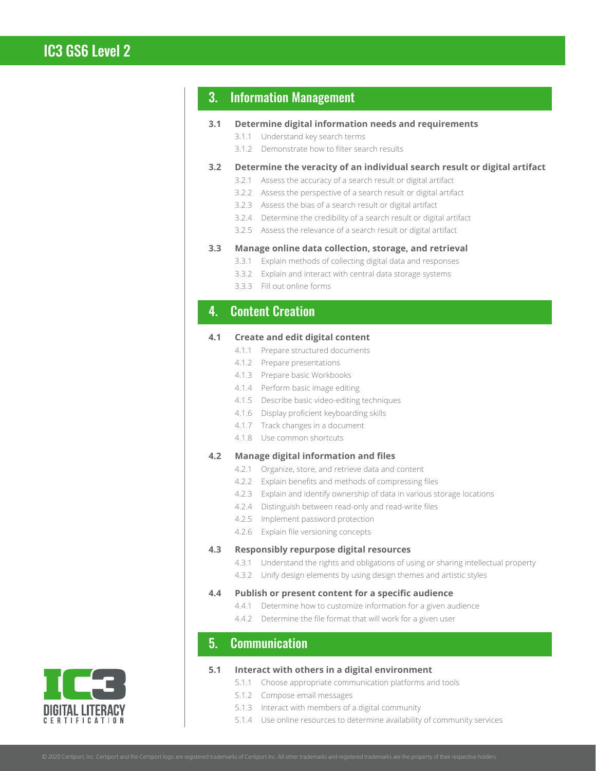## 3. Information Management

## **3.1 Determine digital information needs and requirements**

- 3.1.1 Understand key search terms
	- 3.1.2 Demonstrate how to filter search results

## **3.2 Determine the veracity of an individual search result or digital artifact**

- 3.2.1 Assess the accuracy of a search result or digital artifact
- 3.2.2 Assess the perspective of a search result or digital artifact
- 3.2.3 Assess the bias of a search result or digital artifact
- 3.2.4 Determine the credibility of a search result or digital artifact
- 3.2.5 Assess the relevance of a search result or digital artifact

#### **3.3 Manage online data collection, storage, and retrieval**

- 3.3.1 Explain methods of collecting digital data and responses
- 3.3.2 Explain and interact with central data storage systems
- 3.3.3 Fill out online forms

## 4. Content Creation

## **4.1 Create and edit digital content**

- 4.1.1 Prepare structured documents
- 4.1.2 Prepare presentations
- 4.1.3 Prepare basic Workbooks
- 4.1.4 Perform basic image editing
- 4.1.5 Describe basic video-editing techniques
- 4.1.6 Display proficient keyboarding skills
- 4.1.7 Track changes in a document
- 4.1.8 Use common shortcuts

## **4.2 Manage digital information and files**

- 4.2.1 Organize, store, and retrieve data and content
- 4.2.2 Explain benefits and methods of compressing files
- 4.2.3 Explain and identify ownership of data in various storage locations
- 4.2.4 Distinguish between read-only and read-write files
- 4.2.5 Implement password protection
- 4.2.6 Explain file versioning concepts

#### **4.3 Responsibly repurpose digital resources**

- 4.3.1 Understand the rights and obligations of using or sharing intellectual property
- 4.3.2 Unify design elements by using design themes and artistic styles

## **4.4 Publish or present content for a specific audience**

- 4.4.1 Determine how to customize information for a given audience
- 4.4.2 Determine the file format that will work for a given user

## 5. Communication

#### **5.1 Interact with others in a digital environment**

- 5.1.1 Choose appropriate communication platforms and tools
- 5.1.2 Compose email messages
- 5.1.3 Interact with members of a digital community
- 5.1.4 Use online resources to determine availability of community services